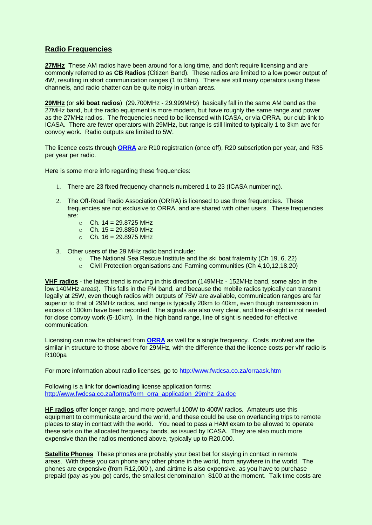## **Radio Frequencies**

**27MHz** These AM radios have been around for a long time, and don't require licensing and are commonly referred to as **CB Radios** (Citizen Band). These radios are limited to a low power output of 4W, resulting in short communication ranges (1 to 5km). There are still many operators using these channels, and radio chatter can be quite noisy in urban areas.

**29MHz** (or **ski boat radios**) (29.700MHz - 29.999MHz) basically fall in the same AM band as the 27MHz band, but the radio equipment is more modern, but have roughly the same range and power as the 27MHz radios. The frequencies need to be licensed with ICASA, or via ORRA, our club link to ICASA. There are fewer operators with 29MHz, but range is still limited to typically 1 to 3km ave for convoy work. Radio outputs are limited to 5W.

The licence costs through **[ORRA](http://www.fwdcsa.co.za/orraask.htm)** are R10 registration (once off), R20 subscription per year, and R35 per year per radio.

Here is some more info regarding these frequencies:

- 1. There are 23 fixed frequency channels numbered 1 to 23 (ICASA numbering).
- 2. The Off-Road Radio Association (ORRA) is licensed to use three frequencies. These frequencies are not exclusive to ORRA, and are shared with other users. These frequencies are:
	- $_0$  Ch. 14 = 29.8725 MHz
	- $C_h$  Ch. 15 = 29.8850 MHz
	- $O$  Ch. 16 = 29.8975 MHz
- 3. Other users of the 29 MHz radio band include:
	- o The National Sea Rescue Institute and the ski boat fraternity (Ch 19, 6, 22)
	- o Civil Protection organisations and Farming communities (Ch 4,10,12,18,20)

**VHF radios** - the latest trend is moving in this direction (149MHz - 152MHz band, some also in the low 140MHz areas). This falls in the FM band, and because the mobile radios typically can transmit legally at 25W, even though radios with outputs of 75W are available, communication ranges are far superior to that of 29MHz radios, and range is typically 20km to 40km, even though transmission in excess of 100km have been recorded. The signals are also very clear, and line-of-sight is not needed for close convoy work (5-10km). In the high band range, line of sight is needed for effective communication.

Licensing can now be obtained from **[ORRA](http://www.fwdcsa.co.za/orraask.htm)** as well for a single frequency. Costs involved are the similar in structure to those above for 29MHz, with the difference that the licence costs per vhf radio is R100pa

For more information about radio licenses, go to<http://www.fwdcsa.co.za/orraask.htm>

Following is a link for downloading license application forms: [http://www.fwdcsa.co.za/forms/form\\_orra\\_application\\_29mhz\\_2a.doc](http://www.fwdcsa.co.za/forms/form_orra_application_29mhz_2a.doc)

**HF radios** offer longer range, and more powerful 100W to 400W radios. Amateurs use this equipment to communicate around the world, and these could be use on overlanding trips to remote places to stay in contact with the world. You need to pass a HAM exam to be allowed to operate these sets on the allocated frequency bands, as issued by ICASA. They are also much more expensive than the radios mentioned above, typically up to R20,000.

**Satellite Phones** These phones are probably your best bet for staying in contact in remote areas. With these you can phone any other phone in the world, from anywhere in the world. The phones are expensive (from R12,000 ), and airtime is also expensive, as you have to purchase prepaid (pay-as-you-go) cards, the smallest denomination \$100 at the moment. Talk time costs are